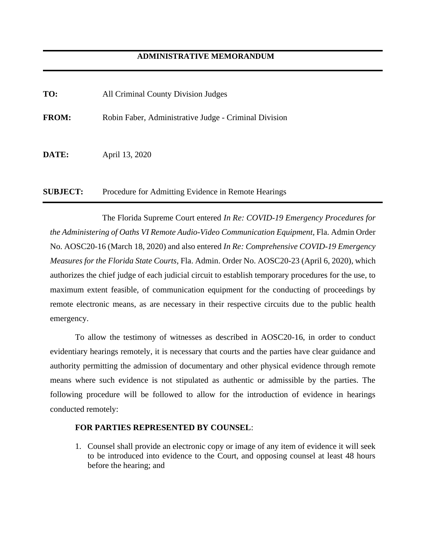| TO:             | All Criminal County Division Judges                   |
|-----------------|-------------------------------------------------------|
| <b>FROM:</b>    | Robin Faber, Administrative Judge - Criminal Division |
| <b>DATE:</b>    | April 13, 2020                                        |
| <b>SUBJECT:</b> | Procedure for Admitting Evidence in Remote Hearings   |

The Florida Supreme Court entered *In Re: COVID-19 Emergency Procedures for the Administering of Oaths VI Remote Audio-Video Communication Equipment,* Fla. Admin Order No. AOSC20-16 (March 18, 2020) and also entered *In Re: Comprehensive COVID-19 Emergency Measures for the Florida State Courts,* Fla. Admin. Order No. AOSC20-23 (April 6, 2020), which authorizes the chief judge of each judicial circuit to establish temporary procedures for the use, to maximum extent feasible, of communication equipment for the conducting of proceedings by remote electronic means, as are necessary in their respective circuits due to the public health emergency.

To allow the testimony of witnesses as described in AOSC20-16, in order to conduct evidentiary hearings remotely, it is necessary that courts and the parties have clear guidance and authority permitting the admission of documentary and other physical evidence through remote means where such evidence is not stipulated as authentic or admissible by the parties. The following procedure will be followed to allow for the introduction of evidence in hearings conducted remotely:

## **FOR PARTIES REPRESENTED BY COUNSEL**:

1. Counsel shall provide an electronic copy or image of any item of evidence it will seek to be introduced into evidence to the Court, and opposing counsel at least 48 hours before the hearing; and